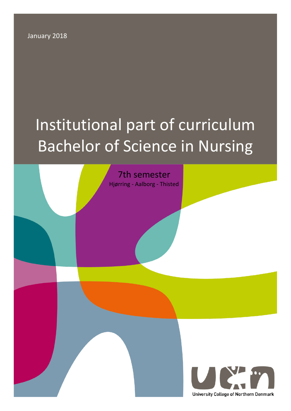January 2018

# Institutional part of curriculum Bachelor of Science in Nursing

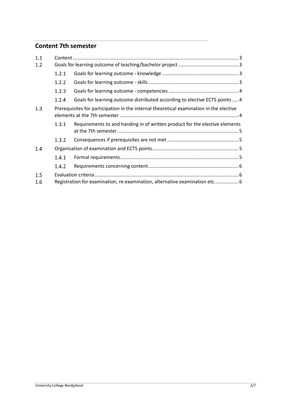# **Content 7th semester**

| 1.1 |                                                                                         |                                                                             |
|-----|-----------------------------------------------------------------------------------------|-----------------------------------------------------------------------------|
| 1.2 |                                                                                         |                                                                             |
|     | 1.2.1                                                                                   |                                                                             |
|     | 1.2.2                                                                                   |                                                                             |
|     | 1.2.3                                                                                   |                                                                             |
|     | 1.2.4                                                                                   | Goals for learning outcome distributed according to elective ECTS points  4 |
| 1.3 | Prerequisites for participation in the internal theoretical examination in the elective |                                                                             |
|     | 1.3.1                                                                                   | Requirements to and handing in of written product for the elective elements |
|     | 1.3.2                                                                                   |                                                                             |
| 1.4 |                                                                                         |                                                                             |
|     | 1.4.1                                                                                   |                                                                             |
|     | 1.4.2                                                                                   |                                                                             |
| 1.5 |                                                                                         |                                                                             |
| 1.6 | Registration for examination, re-examination, alternative examination etc6              |                                                                             |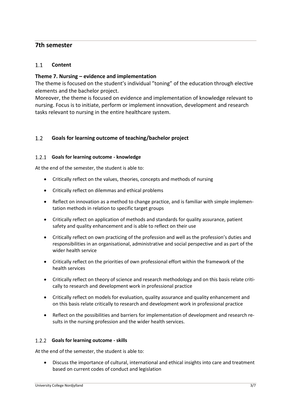# **7th semester**

#### <span id="page-2-0"></span> $1.1$ **Content**

## **Theme 7. Nursing – evidence and implementation**

The theme is focused on the student's individual "toning" of the education through elective elements and the bachelor project.

Moreover, the theme is focused on evidence and implementation of knowledge relevant to nursing. Focus is to initiate, perform or implement innovation, development and research tasks relevant to nursing in the entire healthcare system.

#### <span id="page-2-1"></span> $1.2$ **Goals for learning outcome of teaching/bachelor project**

#### <span id="page-2-2"></span>**Goals for learning outcome - knowledge**

At the end of the semester, the student is able to:

- Critically reflect on the values, theories, concepts and methods of nursing
- Critically reflect on dilemmas and ethical problems
- Reflect on innovation as a method to change practice, and is familiar with simple implementation methods in relation to specific target groups
- Critically reflect on application of methods and standards for quality assurance, patient safety and quality enhancement and is able to reflect on their use
- Critically reflect on own practicing of the profession and well as the profession's duties and responsibilities in an organisational, administrative and social perspective and as part of the wider health service
- Critically reflect on the priorities of own professional effort within the framework of the health services
- Critically reflect on theory of science and research methodology and on this basis relate critically to research and development work in professional practice
- Critically reflect on models for evaluation, quality assurance and quality enhancement and on this basis relate critically to research and development work in professional practice
- Reflect on the possibilities and barriers for implementation of development and research results in the nursing profession and the wider health services.

#### <span id="page-2-3"></span>**Goals for learning outcome - skills**

At the end of the semester, the student is able to:

• Discuss the importance of cultural, international and ethical insights into care and treatment based on current codes of conduct and legislation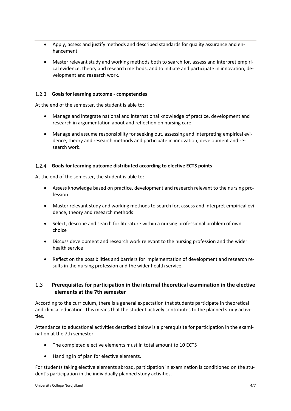- Apply, assess and justify methods and described standards for quality assurance and enhancement
- Master relevant study and working methods both to search for, assess and interpret empirical evidence, theory and research methods, and to initiate and participate in innovation, development and research work.

## <span id="page-3-0"></span>**Goals for learning outcome - competencies**

At the end of the semester, the student is able to:

- Manage and integrate national and international knowledge of practice, development and research in argumentation about and reflection on nursing care
- Manage and assume responsibility for seeking out, assessing and interpreting empirical evidence, theory and research methods and participate in innovation, development and research work.

#### <span id="page-3-1"></span>**Goals for learning outcome distributed according to elective ECTS points**

At the end of the semester, the student is able to:

- Assess knowledge based on practice, development and research relevant to the nursing profession
- Master relevant study and working methods to search for, assess and interpret empirical evidence, theory and research methods
- Select, describe and search for literature within a nursing professional problem of own choice
- Discuss development and research work relevant to the nursing profession and the wider health service
- Reflect on the possibilities and barriers for implementation of development and research results in the nursing profession and the wider health service.

#### <span id="page-3-2"></span> $1.3$ **Prerequisites for participation in the internal theoretical examination in the elective elements at the 7th semester**

According to the curriculum, there is a general expectation that students participate in theoretical and clinical education. This means that the student actively contributes to the planned study activities.

Attendance to educational activities described below is a prerequisite for participation in the examination at the 7th semester.

- The completed elective elements must in total amount to 10 ECTS
- Handing in of plan for elective elements.

For students taking elective elements abroad, participation in examination is conditioned on the student's participation in the individually planned study activities.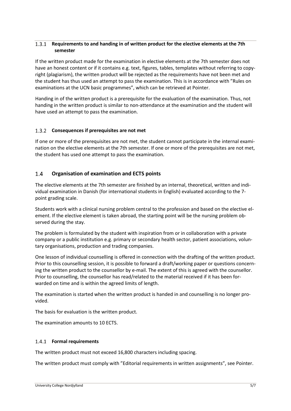#### <span id="page-4-0"></span> $1.3.1$ **Requirements to and handing in of written product for the elective elements at the 7th semester**

If the written product made for the examination in elective elements at the 7th semester does not have an honest content or if it contains e.g. text, figures, tables, templates without referring to copyright (plagiarism), the written product will be rejected as the requirements have not been met and the student has thus used an attempt to pass the examination. This is in accordance with "Rules on examinations at the UCN basic programmes", which can be retrieved at Pointer.

Handing in of the written product is a prerequisite for the evaluation of the examination. Thus, not handing in the written product is similar to non-attendance at the examination and the student will have used an attempt to pass the examination.

## <span id="page-4-1"></span>**Consequences if prerequisites are not met**

If one or more of the prerequisites are not met, the student cannot participate in the internal examination on the elective elements at the 7th semester. If one or more of the prerequisites are not met, the student has used one attempt to pass the examination.

#### <span id="page-4-2"></span> $1.4$ **Organisation of examination and ECTS points**

The elective elements at the 7th semester are finished by an internal, theoretical, written and individual examination in Danish (for international students in English) evaluated according to the 7 point grading scale.

Students work with a clinical nursing problem central to the profession and based on the elective element. If the elective element is taken abroad, the starting point will be the nursing problem observed during the stay.

The problem is formulated by the student with inspiration from or in collaboration with a private company or a public institution e.g. primary or secondary health sector, patient associations, voluntary organisations, production and trading companies.

One lesson of individual counselling is offered in connection with the drafting of the written product. Prior to this counselling session, it is possible to forward a draft/working paper or questions concerning the written product to the counsellor by e-mail. The extent of this is agreed with the counsellor. Prior to counselling, the counsellor has read/related to the material received if it has been forwarded on time and is within the agreed limits of length.

The examination is started when the written product is handed in and counselling is no longer provided.

The basis for evaluation is the written product.

The examination amounts to 10 ECTS.

## <span id="page-4-3"></span>**Formal requirements**

The written product must not exceed 16,800 characters including spacing.

The written product must comply with "Editorial requirements in written assignments", see Pointer.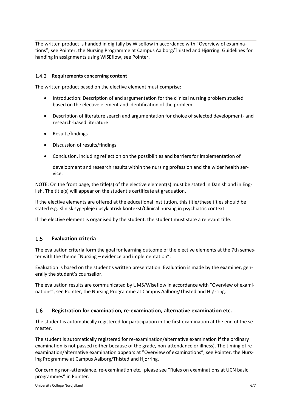The written product is handed in digitally by Wiseflow in accordance with "Overview of examinations", see Pointer, the Nursing Programme at Campus Aalborg/Thisted and Hjørring. Guidelines for handing in assignments using WISEflow, see Pointer.

## <span id="page-5-0"></span>1.4.2 Requirements concerning content

The written product based on the elective element must comprise:

- Introduction: Description of and argumentation for the clinical nursing problem studied based on the elective element and identification of the problem
- Description of literature search and argumentation for choice of selected development- and research-based literature
- Results/findings
- Discussion of results/findings
- Conclusion, including reflection on the possibilities and barriers for implementation of

development and research results within the nursing profession and the wider health service.

NOTE: On the front page, the title(s) of the elective element(s) must be stated in Danish and in English. The title(s) will appear on the student's certificate at graduation.

If the elective elements are offered at the educational institution, this title/these titles should be stated e.g. Klinisk sygepleje i psykiatrisk kontekst/Clinical nursing in psychiatric context.

If the elective element is organised by the student, the student must state a relevant title.

#### <span id="page-5-1"></span> $1<sub>5</sub>$ **Evaluation criteria**

The evaluation criteria form the goal for learning outcome of the elective elements at the 7th semester with the theme "Nursing – evidence and implementation".

Evaluation is based on the student's written presentation. Evaluation is made by the examiner, generally the student's counsellor.

The evaluation results are communicated by UMS/Wiseflow in accordance with "Overview of examinations", see Pointer, the Nursing Programme at Campus Aalborg/Thisted and Hjørring.

#### <span id="page-5-2"></span>1.6 **Registration for examination, re-examination, alternative examination etc.**

The student is automatically registered for participation in the first examination at the end of the semester.

The student is automatically registered for re-examination/alternative examination if the ordinary examination is not passed (either because of the grade, non-attendance or illness). The timing of reexamination/alternative examination appears at "Overview of examinations", see Pointer, the Nursing Programme at Campus Aalborg/Thisted and Hjørring.

Concerning non-attendance, re-examination etc., please see "Rules on examinations at UCN basic programmes" in Pointer.